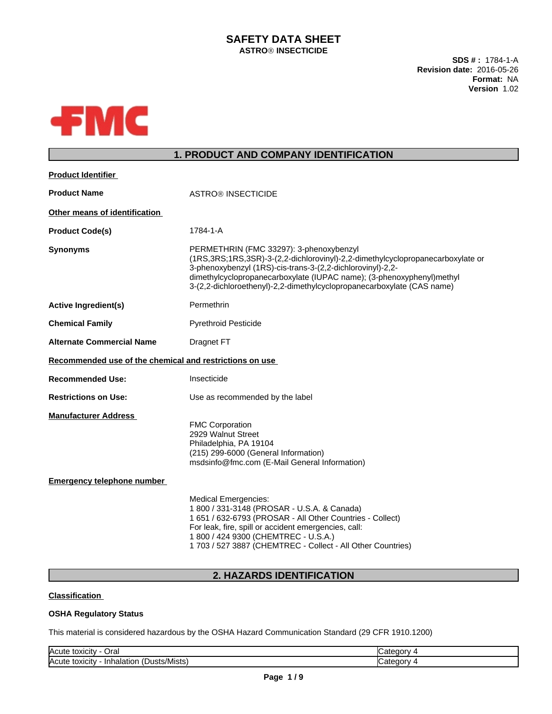## **SAFETY DATA SHEET ASTROÒ INSECTICIDE**

**SDS # :** 1784-1-A **Revision date:** 2016-05-26 **Format:** NA **Version** 1.02



# **1. PRODUCT AND COMPANY IDENTIFICATION**

| <b>Product Identifier</b>                               |                                                                                                                                                                                                                                                                                                                                            |
|---------------------------------------------------------|--------------------------------------------------------------------------------------------------------------------------------------------------------------------------------------------------------------------------------------------------------------------------------------------------------------------------------------------|
| <b>Product Name</b>                                     | <b>ASTRO® INSECTICIDE</b>                                                                                                                                                                                                                                                                                                                  |
| Other means of identification                           |                                                                                                                                                                                                                                                                                                                                            |
| <b>Product Code(s)</b>                                  | 1784-1-A                                                                                                                                                                                                                                                                                                                                   |
| <b>Synonyms</b>                                         | PERMETHRIN (FMC 33297): 3-phenoxybenzyl<br>(1RS,3RS;1RS,3SR)-3-(2,2-dichlorovinyl)-2,2-dimethylcyclopropanecarboxylate or<br>3-phenoxybenzyl (1RS)-cis-trans-3-(2,2-dichlorovinyl)-2,2-<br>dimethylcyclopropanecarboxylate (IUPAC name); (3-phenoxyphenyl)methyl<br>3-(2,2-dichloroethenyl)-2,2-dimethylcyclopropanecarboxylate (CAS name) |
| <b>Active Ingredient(s)</b>                             | Permethrin                                                                                                                                                                                                                                                                                                                                 |
| <b>Chemical Family</b>                                  | <b>Pyrethroid Pesticide</b>                                                                                                                                                                                                                                                                                                                |
| <b>Alternate Commercial Name</b>                        | Dragnet FT                                                                                                                                                                                                                                                                                                                                 |
| Recommended use of the chemical and restrictions on use |                                                                                                                                                                                                                                                                                                                                            |
| <b>Recommended Use:</b>                                 | Insecticide                                                                                                                                                                                                                                                                                                                                |
| <b>Restrictions on Use:</b>                             | Use as recommended by the label                                                                                                                                                                                                                                                                                                            |
| <b>Manufacturer Address</b>                             | <b>FMC Corporation</b><br>2929 Walnut Street<br>Philadelphia, PA 19104<br>(215) 299-6000 (General Information)<br>msdsinfo@fmc.com (E-Mail General Information)                                                                                                                                                                            |
| <b>Emergency telephone number</b>                       |                                                                                                                                                                                                                                                                                                                                            |
|                                                         | <b>Medical Emergencies:</b><br>1 800 / 331-3148 (PROSAR - U.S.A. & Canada)<br>1 651 / 632-6793 (PROSAR - All Other Countries - Collect)<br>For leak, fire, spill or accident emergencies, call:<br>1 800 / 424 9300 (CHEMTREC - U.S.A.)<br>1 703 / 527 3887 (CHEMTREC - Collect - All Other Countries)                                     |

# **2. HAZARDS IDENTIFICATION**

### **Classification**

### **OSHA Regulatory Status**

This material is considered hazardous by the OSHA Hazard Communication Standard (29 CFR 1910.1200)

| الOral<br><b>Acute</b><br>toxicity                                                   | - Ff<br>-001 |
|--------------------------------------------------------------------------------------|--------------|
| $\sim$ $\sim$<br><b>IAcute</b><br>-Inh<br>sts/Mists<br>toxicity<br>a nistr<br>пагатк | ate<br>аог   |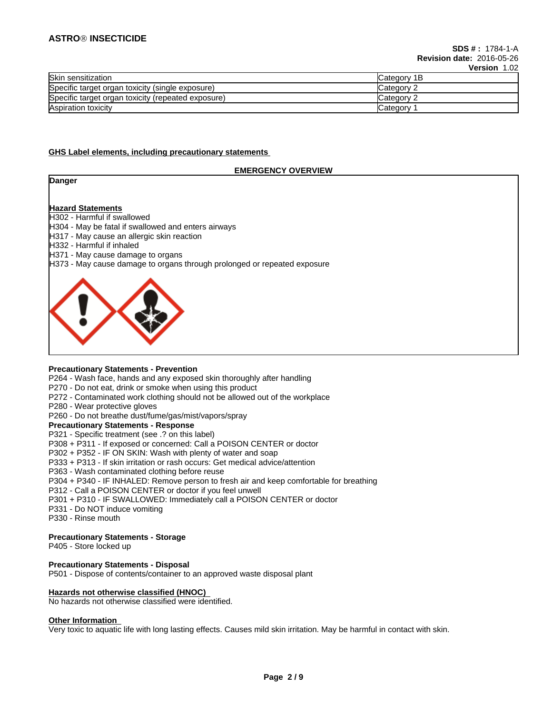### **ASTROÒ INSECTICIDE**

|                                                    | $\sqrt{2}$          |
|----------------------------------------------------|---------------------|
| Skin sensitization                                 | <b>ICategory 1B</b> |
| Specific target organ toxicity (single exposure)   | Category 2          |
| Specific target organ toxicity (repeated exposure) | Category 2          |
| Aspiration toxicity                                | Category            |

#### **GHS Label elements, including precautionary statements**

### **EMERGENCY OVERVIEW**

**Danger**

# **Hazard Statements**

H302 - Harmful if swallowed

- H304 May be fatal if swallowed and enters airways
- H317 May cause an allergic skin reaction
- H332 Harmful if inhaled
- H371 May cause damage to organs
- H373 May cause damage to organs through prolonged or repeated exposure



#### **Precautionary Statements - Prevention**

P264 - Wash face, hands and any exposed skin thoroughly after handling

- P270 Do not eat, drink or smoke when using this product
- P272 Contaminated work clothing should not be allowed out of the workplace
- P280 Wear protective gloves
- P260 Do not breathe dust/fume/gas/mist/vapors/spray

#### **Precautionary Statements - Response**

P321 - Specific treatment (see .? on this label)

- P308 + P311 If exposed or concerned: Call a POISON CENTER or doctor
- P302 + P352 IF ON SKIN: Wash with plenty of water and soap
- P333 + P313 If skin irritation or rash occurs: Get medical advice/attention
- P363 Wash contaminated clothing before reuse
- P304 + P340 IF INHALED: Remove person to fresh air and keep comfortable for breathing
- P312 Call a POISON CENTER or doctor if you feel unwell
- P301 + P310 IF SWALLOWED: Immediately call a POISON CENTER or doctor
- P331 Do NOT induce vomiting
- P330 Rinse mouth

#### **Precautionary Statements - Storage**

P405 - Store locked up

### **Precautionary Statements - Disposal**

P501 - Dispose of contents/container to an approved waste disposal plant

#### **Hazards not otherwise classified (HNOC)**

No hazards not otherwise classified were identified.

#### **Other Information**

Very toxic to aquatic life with long lasting effects. Causes mild skin irritation. May be harmful in contact with skin.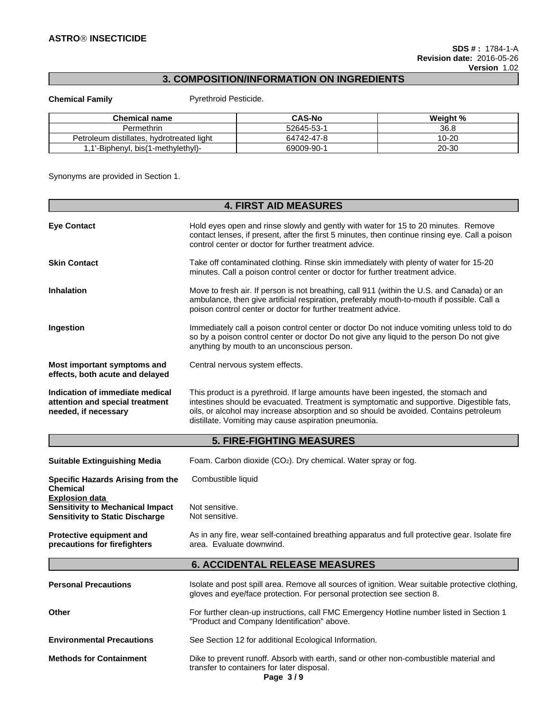# **3. COMPOSITION/INFORMATION ON INGREDIENTS**

**Chemical Family Pyrethroid Pesticide.** 

| <b>Chemical name</b>                            | <b>CAS-No</b> | Weight %  |
|-------------------------------------------------|---------------|-----------|
| Permethrin                                      | 52645-53-     | 36.8      |
| hydrotreated light<br>distillates.<br>Petroleum | 64742-47-8    | $10 - 20$ |
| .'-Biphenyl, bis(1-methylethyl)-                | 69009-90-     | 20-30     |

Synonyms are provided in Section 1.

|                                                                                                            | <b>4. FIRST AID MEASURES</b>                                                                                                                                                                                                                                                                                                     |
|------------------------------------------------------------------------------------------------------------|----------------------------------------------------------------------------------------------------------------------------------------------------------------------------------------------------------------------------------------------------------------------------------------------------------------------------------|
| <b>Eye Contact</b>                                                                                         | Hold eyes open and rinse slowly and gently with water for 15 to 20 minutes. Remove<br>contact lenses, if present, after the first 5 minutes, then continue rinsing eye. Call a poison<br>control center or doctor for further treatment advice.                                                                                  |
| <b>Skin Contact</b>                                                                                        | Take off contaminated clothing. Rinse skin immediately with plenty of water for 15-20<br>minutes. Call a poison control center or doctor for further treatment advice.                                                                                                                                                           |
| <b>Inhalation</b>                                                                                          | Move to fresh air. If person is not breathing, call 911 (within the U.S. and Canada) or an<br>ambulance, then give artificial respiration, preferably mouth-to-mouth if possible. Call a<br>poison control center or doctor for further treatment advice.                                                                        |
| <b>Ingestion</b>                                                                                           | Immediately call a poison control center or doctor Do not induce vomiting unless told to do<br>so by a poison control center or doctor Do not give any liquid to the person Do not give<br>anything by mouth to an unconscious person.                                                                                           |
| Most important symptoms and<br>effects, both acute and delayed                                             | Central nervous system effects.                                                                                                                                                                                                                                                                                                  |
| Indication of immediate medical<br>attention and special treatment<br>needed, if necessary                 | This product is a pyrethroid. If large amounts have been ingested, the stomach and<br>intestines should be evacuated. Treatment is symptomatic and supportive. Digestible fats,<br>oils, or alcohol may increase absorption and so should be avoided. Contains petroleum<br>distillate. Vomiting may cause aspiration pneumonia. |
|                                                                                                            | <b>5. FIRE-FIGHTING MEASURES</b>                                                                                                                                                                                                                                                                                                 |
| <b>Suitable Extinguishing Media</b>                                                                        | Foam. Carbon dioxide (CO <sub>2</sub> ). Dry chemical. Water spray or fog.                                                                                                                                                                                                                                                       |
| <b>Specific Hazards Arising from the</b><br>Chemical                                                       | Combustible liquid                                                                                                                                                                                                                                                                                                               |
| <b>Explosion data</b><br><b>Sensitivity to Mechanical Impact</b><br><b>Sensitivity to Static Discharge</b> | Not sensitive.<br>Not sensitive.                                                                                                                                                                                                                                                                                                 |
| Protective equipment and<br>precautions for firefighters                                                   | As in any fire, wear self-contained breathing apparatus and full protective gear. Isolate fire<br>area. Evaluate downwind.                                                                                                                                                                                                       |
|                                                                                                            | <b>6. ACCIDENTAL RELEASE MEASURES</b>                                                                                                                                                                                                                                                                                            |
| <b>Personal Precautions</b>                                                                                | Isolate and post spill area. Remove all sources of ignition. Wear suitable protective clothing,<br>gloves and eye/face protection. For personal protection see section 8.                                                                                                                                                        |
| Other                                                                                                      | For further clean-up instructions, call FMC Emergency Hotline number listed in Section 1<br>"Product and Company Identification" above.                                                                                                                                                                                          |
| <b>Environmental Precautions</b>                                                                           | See Section 12 for additional Ecological Information.                                                                                                                                                                                                                                                                            |
| <b>Methods for Containment</b>                                                                             | Dike to prevent runoff. Absorb with earth, sand or other non-combustible material and<br>transfer to containers for later disposal.<br>Page 3/9                                                                                                                                                                                  |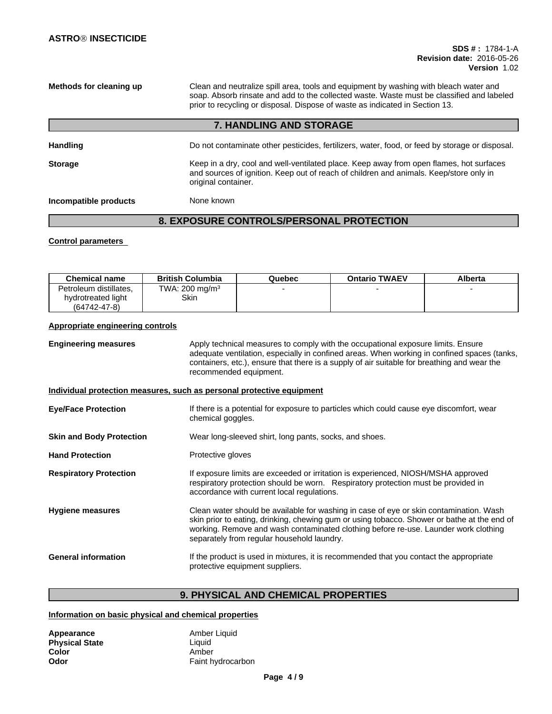**Methods for cleaning up** Clean and neutralize spill area, tools and equipment by washing with bleach water and soap. Absorb rinsate and add to the collected waste. Waste must be classified and labeled prior to recycling or disposal. Dispose of waste as indicated in Section 13.

## **7. HANDLING AND STORAGE**

| <b>Handling</b>       | Do not contaminate other pesticides, fertilizers, water, food, or feed by storage or disposal.                                                                                                           |
|-----------------------|----------------------------------------------------------------------------------------------------------------------------------------------------------------------------------------------------------|
| <b>Storage</b>        | Keep in a dry, cool and well-ventilated place. Keep away from open flames, hot surfaces<br>and sources of ignition. Keep out of reach of children and animals. Keep/store only in<br>original container. |
| Incompatible products | None known                                                                                                                                                                                               |

# **8. EXPOSURE CONTROLS/PERSONAL PROTECTION**

#### **Control parameters**

| <b>Chemical name</b>   | <b>British Columbia</b>    | Quebec | <b>Ontario TWAEV</b> | Alberta |
|------------------------|----------------------------|--------|----------------------|---------|
| Petroleum distillates. | TWA: 200 mg/m <sup>3</sup> |        |                      |         |
| hydrotreated light     | Skin                       |        |                      |         |
| $(64742 - 47 - 8)$     |                            |        |                      |         |

#### **Appropriate engineering controls**

**Engineering measures** Apply technical measures to comply with the occupational exposure limits. Ensure adequate ventilation, especially in confined areas. When working in confined spaces (tanks, containers, etc.), ensure that there is a supply of air suitable for breathing and wear the recommended equipment.

#### **Individual protection measures, such as personal protective equipment**

| <b>Eye/Face Protection</b>      | If there is a potential for exposure to particles which could cause eye discomfort, wear<br>chemical goggles.                                                                                                                                                                                                              |
|---------------------------------|----------------------------------------------------------------------------------------------------------------------------------------------------------------------------------------------------------------------------------------------------------------------------------------------------------------------------|
| <b>Skin and Body Protection</b> | Wear long-sleeved shirt, long pants, socks, and shoes.                                                                                                                                                                                                                                                                     |
| <b>Hand Protection</b>          | Protective gloves                                                                                                                                                                                                                                                                                                          |
| <b>Respiratory Protection</b>   | If exposure limits are exceeded or irritation is experienced, NIOSH/MSHA approved<br>respiratory protection should be worn. Respiratory protection must be provided in<br>accordance with current local regulations.                                                                                                       |
| <b>Hygiene measures</b>         | Clean water should be available for washing in case of eye or skin contamination. Wash<br>skin prior to eating, drinking, chewing gum or using tobacco. Shower or bathe at the end of<br>working. Remove and wash contaminated clothing before re-use. Launder work clothing<br>separately from regular household laundry. |
| <b>General information</b>      | If the product is used in mixtures, it is recommended that you contact the appropriate<br>protective equipment suppliers.                                                                                                                                                                                                  |

# **9. PHYSICAL AND CHEMICAL PROPERTIES**

### **Information on basic physical and chemical properties**

| Appearance            | Amber Liquid      |
|-----------------------|-------------------|
| <b>Physical State</b> | Liauid            |
| Color                 | Amber             |
| Odor                  | Faint hydrocarbon |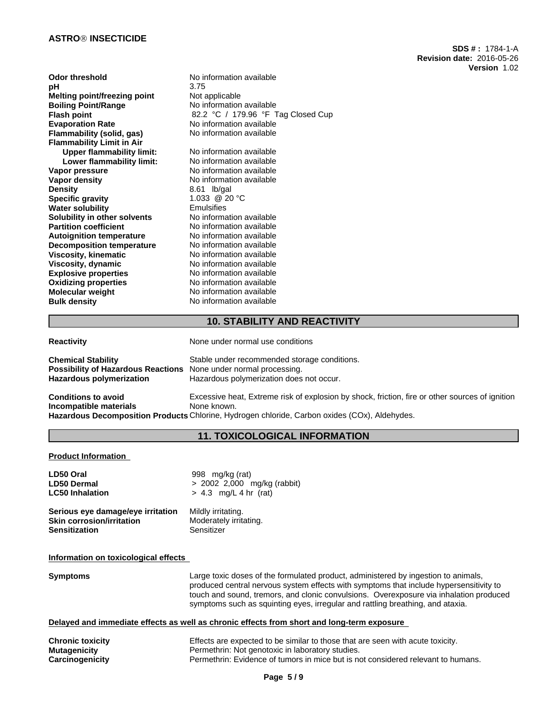### **ASTROÒ INSECTICIDE**

**Odor threshold** No information available **pH** 3.75 **Melting point/freezing point** Not applicable<br> **Boiling Point/Range** No information **Boiling Point/Range No information available**<br> **Flash point Point** 82.2 °C / 179.96 °F T **Flash point**<br> **Evaporation Rate Rate Rate Rate Rate No** information available **Flammability (solid, gas)** No information available **Flammability Limit in Air Upper flammability limit:** No information available<br> **Lower flammability limit:** No information available **Lower flammability limit: Vapor pressure No information available**<br> **Vapor density No information available Vapor density**<br> **Density**<br> **Density**<br>  $8.61$  Ib/gal **Specific gravity 5 and 1.033 @ 20 °C 1.033 @ 20 °C 1.033 @ 20 °C 1.033 @ 20 °C 1.033 @ 20 °C 1.033 @ 20 °C 1.033 @ 20 °C 1.066 °C 1.066 °C 1.066 °C 1.066 °C 1.066 °C 1.066 °C 1.066 °C 1.066 °C 1.066 °C 1.066 °C 1.066 °C 1 Water solubility**<br> **Solubility in other solvents**<br>
No information available **Solubility in other solvents Partition coefficient** No information available **Autoignition temperature** No information available **Decomposition temperature** No information available **Viscosity, kinematic** No information available<br> **Viscosity, dynamic** No information available **Viscosity, dynamic**<br> **Explosive properties**<br>
No information available **Explosive properties** No information available<br> **Oxidizing properties** No information available **Oxidizing properties**<br> **Molecular weight** No information available<br>
No information available **Bulk density** No information available

No information available<br>No information available 8.61 lb/gal<br>1.033 @ 20 °C **No information available**  **SDS # :** 1784-1-A

**Version** 1.02

**Revision date:** 2016-05-26

## **10. STABILITY AND REACTIVITY**

| <b>Reactivity</b>                                                                                                                | None under normal use conditions                                                                                                                                                                                |
|----------------------------------------------------------------------------------------------------------------------------------|-----------------------------------------------------------------------------------------------------------------------------------------------------------------------------------------------------------------|
| <b>Chemical Stability</b><br>Possibility of Hazardous Reactions None under normal processing.<br><b>Hazardous polymerization</b> | Stable under recommended storage conditions.<br>Hazardous polymerization does not occur.                                                                                                                        |
| <b>Conditions to avoid</b><br>Incompatible materials                                                                             | Excessive heat, Extreme risk of explosion by shock, friction, fire or other sources of ignition<br>None known.<br>Hazardous Decomposition Products Chlorine, Hydrogen chloride, Carbon oxides (COx), Aldehydes. |

## **11. TOXICOLOGICAL INFORMATION**

**Product Information**

| LD50 Oral                         | 998 mg/kg (rat)               |
|-----------------------------------|-------------------------------|
| <b>LD50 Dermal</b>                | $> 2002$ 2,000 mg/kg (rabbit) |
| <b>LC50 Inhalation</b>            | $> 4.3$ mg/L 4 hr (rat)       |
| Serious eye damage/eye irritation | Mildly irritating.            |
| <b>Skin corrosion/irritation</b>  | Moderately irritating.        |
| <b>Sensitization</b>              | Sensitizer                    |

## **Information on toxicological effects**

| <b>Symptoms</b> | Large toxic doses of the formulated product, administered by ingestion to animals,<br>produced central nervous system effects with symptoms that include hypersensitivity to<br>touch and sound, tremors, and clonic convulsions. Overexposure via inhalation produced<br>symptoms such as squinting eyes, irregular and rattling breathing, and ataxia. |
|-----------------|----------------------------------------------------------------------------------------------------------------------------------------------------------------------------------------------------------------------------------------------------------------------------------------------------------------------------------------------------------|
|                 | Delayed and immediate effects as well as chronic effects from short and long-term exposure                                                                                                                                                                                                                                                               |

| <b>Chronic toxicity</b> | Effects are expected to be similar to those that are seen with acute toxicity.   |
|-------------------------|----------------------------------------------------------------------------------|
| Mutagenicity            | Permethrin: Not genotoxic in laboratory studies.                                 |
| Carcinogenicity         | Permethrin: Evidence of tumors in mice but is not considered relevant to humans. |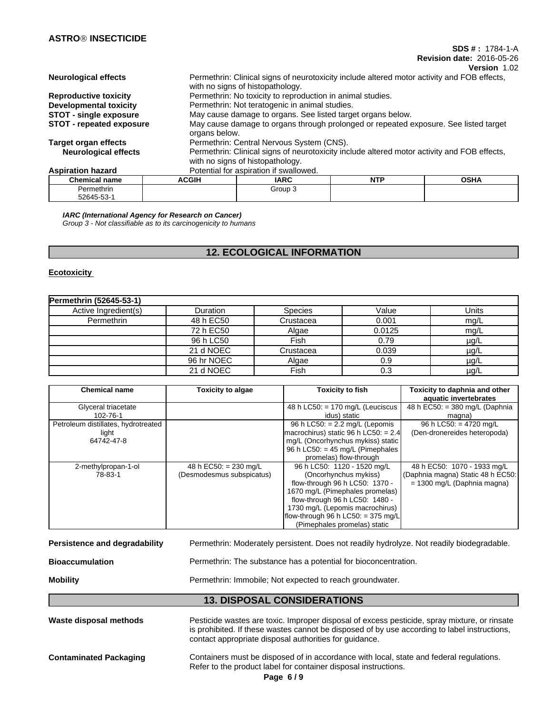### **SDS # :** 1784-1-A **Revision date:** 2016-05-26

**Version** 1.02

| Observational property          | 50011         | 1000                                                                                        | <b>NITD</b> | $\sim$ $\sim$ |
|---------------------------------|---------------|---------------------------------------------------------------------------------------------|-------------|---------------|
| <b>Aspiration hazard</b>        |               | Potential for aspiration if swallowed.                                                      |             |               |
|                                 |               | with no signs of histopathology.                                                            |             |               |
| <b>Neurological effects</b>     |               | Permethrin: Clinical signs of neurotoxicity include altered motor activity and FOB effects, |             |               |
| <b>Target organ effects</b>     |               | Permethrin: Central Nervous System (CNS).                                                   |             |               |
|                                 | organs below. |                                                                                             |             |               |
| <b>STOT</b> - repeated exposure |               | May cause damage to organs through prolonged or repeated exposure. See listed target        |             |               |
| <b>STOT - single exposure</b>   |               | May cause damage to organs. See listed target organs below.                                 |             |               |
| <b>Developmental toxicity</b>   |               | Permethrin: Not teratogenic in animal studies.                                              |             |               |
|                                 |               |                                                                                             |             |               |
| <b>Reproductive toxicity</b>    |               | Permethrin: No toxicity to reproduction in animal studies.                                  |             |               |
|                                 |               | with no signs of histopathology.                                                            |             |               |
| <b>Neurological effects</b>     |               | Permethrin: Clinical signs of neurotoxicity include altered motor activity and FOB effects, |             |               |
|                                 |               |                                                                                             |             |               |

| Chemical name | <b>ACGIH</b> | <b>IARC</b> | <b>ALTO</b><br>14 L | <b>OCUA</b><br>оэпл |
|---------------|--------------|-------------|---------------------|---------------------|
| Permethrin    |              | Group,      |                     |                     |
| 52645-53-     |              |             |                     |                     |

*IARC (International Agency for Research on Cancer) Group 3 - Not classifiable as to its carcinogenicity to humans*

# **12. ECOLOGICAL INFORMATION**

### **Ecotoxicity**

| Permethrin (52645-53-1) |                 |                |        |           |
|-------------------------|-----------------|----------------|--------|-----------|
| Active Ingredient(s)    | <b>Duration</b> | <b>Species</b> | Value  | Units     |
| Permethrin              | 48 h EC50       | Crustacea      | 0.001  | mg/L      |
|                         | 72 h EC50       | Algae          | 0.0125 | mg/L      |
|                         | 96 h LC50       | Fish           | 0.79   | $\mu$ g/L |
|                         | 21 d NOEC       | Crustacea      | 0.039  | $\mu$ g/L |
|                         | 96 hr NOEC      | Algae          | 0.9    | $\mu$ g/L |
|                         | 21 d NOEC       | Fish           | 0.3    | $\mu$ g/L |

| <b>Chemical name</b>                                       | <b>Toxicity to algae</b>                             | Toxicity to fish                                                                                                                                                                                                                                                       | Toxicity to daphnia and other<br>aquatic invertebrates                                            |
|------------------------------------------------------------|------------------------------------------------------|------------------------------------------------------------------------------------------------------------------------------------------------------------------------------------------------------------------------------------------------------------------------|---------------------------------------------------------------------------------------------------|
| Glyceral triacetate<br>102-76-1                            |                                                      | 48 h LC50: $= 170$ mg/L (Leuciscus<br>idus) static                                                                                                                                                                                                                     | 48 h EC50: $=$ 380 mg/L (Daphnia<br>magna)                                                        |
| Petroleum distillates, hydrotreated<br>light<br>64742-47-8 |                                                      | 96 h LC50: $= 2.2$ mg/L (Lepomis<br>macrochirus) static 96 h LC50: = $2.4$<br>mg/L (Oncorhynchus mykiss) static<br>96 h LC50: $=$ 45 mg/L (Pimephales<br>promelas) flow-through                                                                                        | 96 h LC50: = 4720 mg/L<br>(Den-dronereides heteropoda)                                            |
| 2-methylpropan-1-ol<br>78-83-1                             | 48 h EC50: = $230$ mg/L<br>(Desmodesmus subspicatus) | 96 h LC50: 1120 - 1520 mg/L<br>(Oncorhynchus mykiss)<br>flow-through 96 h LC50: 1370 -<br>1670 mg/L (Pimephales promelas)<br>flow-through 96 h LC50: 1480 -<br>1730 mg/L (Lepomis macrochirus)<br>flow-through 96 h LC50: $=$ 375 mg/L<br>(Pimephales promelas) static | 48 h EC50: 1070 - 1933 mg/L<br>(Daphnia magna) Static 48 h EC50:<br>$= 1300$ mg/L (Daphnia magna) |

| <b>Mobility</b>               | Permethrin: Immobile: Not expected to reach groundwater.                                  |
|-------------------------------|-------------------------------------------------------------------------------------------|
| <b>Bioaccumulation</b>        | Permethrin: The substance has a potential for bioconcentration.                           |
| Persistence and degradability | Permethrin: Moderately persistent. Does not readily hydrolyze. Not readily biodegradable. |

# **13. DISPOSAL CONSIDERATIONS**

| Waste disposal methods        | Pesticide wastes are toxic. Improper disposal of excess pesticide, spray mixture, or rinsate<br>is prohibited. If these wastes cannot be disposed of by use according to label instructions,<br>contact appropriate disposal authorities for guidance. |
|-------------------------------|--------------------------------------------------------------------------------------------------------------------------------------------------------------------------------------------------------------------------------------------------------|
| <b>Contaminated Packaging</b> | Containers must be disposed of in accordance with local, state and federal regulations.<br>Refer to the product label for container disposal instructions.<br>Page $6/9$                                                                               |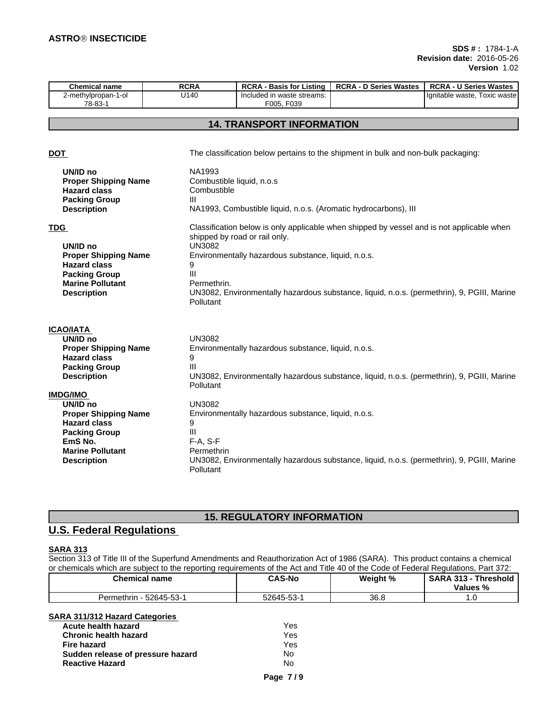| <b>Chemical name</b> | <b>RCRA</b> | <b>RCRA</b><br><b>Basis for Listing</b> | <b>RCRA - D Series Wastes</b> | <b>RCRA</b><br><b>U Series Wastes</b> |
|----------------------|-------------|-----------------------------------------|-------------------------------|---------------------------------------|
| 2-methylpropan-1-ol  | U140        | uded in waste streams:<br>-Inc          |                               | Гохіс waste<br>Hqnitable waste,       |
| 78-83-1              |             | F039<br>F005                            |                               |                                       |

# **14. TRANSPORT INFORMATION**

| <b>DOT</b>                                                                                                                                            | The classification below pertains to the shipment in bulk and non-bulk packaging:                                                                                                                                                                                                                                                            |
|-------------------------------------------------------------------------------------------------------------------------------------------------------|----------------------------------------------------------------------------------------------------------------------------------------------------------------------------------------------------------------------------------------------------------------------------------------------------------------------------------------------|
| UN/ID no<br><b>Proper Shipping Name</b><br><b>Hazard class</b><br><b>Packing Group</b><br><b>Description</b>                                          | NA1993<br>Combustible liquid, n.o.s<br>Combustible<br>$\mathbf{III}$<br>NA1993, Combustible liquid, n.o.s. (Aromatic hydrocarbons), III                                                                                                                                                                                                      |
| <b>TDG</b><br>UN/ID no<br><b>Proper Shipping Name</b><br><b>Hazard class</b><br><b>Packing Group</b><br><b>Marine Pollutant</b><br><b>Description</b> | Classification below is only applicable when shipped by vessel and is not applicable when<br>shipped by road or rail only.<br>UN3082<br>Environmentally hazardous substance, liquid, n.o.s.<br>9<br>$\mathbf{III}$<br>Permethrin.<br>UN3082, Environmentally hazardous substance, liquid, n.o.s. (permethrin), 9, PGIII, Marine<br>Pollutant |
| <b>ICAO/IATA</b>                                                                                                                                      |                                                                                                                                                                                                                                                                                                                                              |
| UN/ID no                                                                                                                                              | <b>UN3082</b>                                                                                                                                                                                                                                                                                                                                |
| <b>Proper Shipping Name</b>                                                                                                                           | Environmentally hazardous substance, liquid, n.o.s.                                                                                                                                                                                                                                                                                          |
| <b>Hazard class</b>                                                                                                                                   | 9                                                                                                                                                                                                                                                                                                                                            |
| <b>Packing Group</b>                                                                                                                                  | Ш                                                                                                                                                                                                                                                                                                                                            |
| <b>Description</b>                                                                                                                                    | UN3082, Environmentally hazardous substance, liquid, n.o.s. (permethrin), 9, PGIII, Marine<br>Pollutant                                                                                                                                                                                                                                      |
| <b>IMDG/IMO</b>                                                                                                                                       |                                                                                                                                                                                                                                                                                                                                              |
| UN/ID no                                                                                                                                              | <b>UN3082</b>                                                                                                                                                                                                                                                                                                                                |
| <b>Proper Shipping Name</b>                                                                                                                           | Environmentally hazardous substance, liquid, n.o.s.                                                                                                                                                                                                                                                                                          |
| <b>Hazard class</b>                                                                                                                                   | 9                                                                                                                                                                                                                                                                                                                                            |
| <b>Packing Group</b>                                                                                                                                  | Ш                                                                                                                                                                                                                                                                                                                                            |
| EmS No.                                                                                                                                               | $F-A, S-F$                                                                                                                                                                                                                                                                                                                                   |
| <b>Marine Pollutant</b>                                                                                                                               | Permethrin                                                                                                                                                                                                                                                                                                                                   |
| <b>Description</b>                                                                                                                                    | UN3082, Environmentally hazardous substance, liquid, n.o.s. (permethrin), 9, PGIII, Marine<br>Pollutant                                                                                                                                                                                                                                      |
|                                                                                                                                                       |                                                                                                                                                                                                                                                                                                                                              |

# **15. REGULATORY INFORMATION**

# **U.S. Federal Regulations**

### **SARA 313**

Section 313 of Title III of the Superfund Amendments and Reauthorization Act of 1986 (SARA). This product contains a chemical or chemicals which are subject to the reporting requirements of the Act and Title 40 of the Code of Federal Regulations, Part 372:

| <b>Chemical name</b>     | <b>CAS-No</b> | Weight % | <b>SARA 313</b><br>Threshold,<br>Values % |
|--------------------------|---------------|----------|-------------------------------------------|
| 52645-53-1<br>Permethrin | 52645-53-     | 36.8     |                                           |

# **SARA 311/312 Hazard Categories**

| Acute health hazard               | Yes |
|-----------------------------------|-----|
| <b>Chronic health hazard</b>      | Yes |
| Fire hazard                       | Yes |
| Sudden release of pressure hazard | N٥  |
| <b>Reactive Hazard</b>            | No  |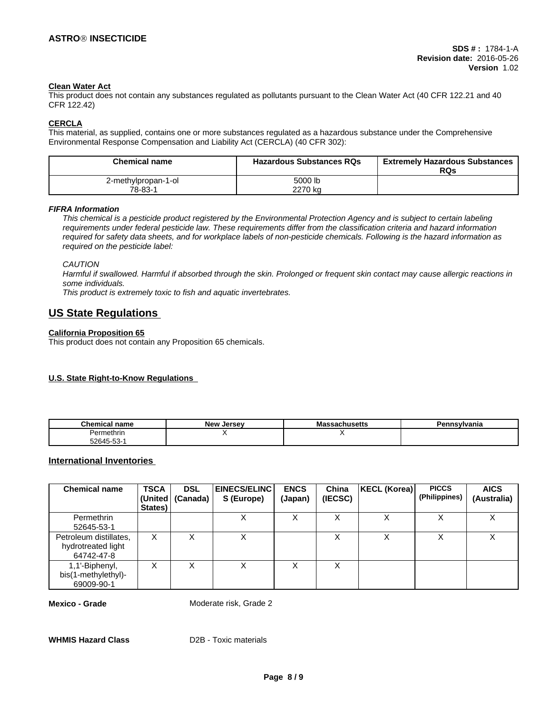## **Clean Water Act**

This product does not contain any substances regulated as pollutants pursuant to the Clean Water Act (40 CFR 122.21 and 40 CFR 122.42)

#### **CERCLA**

This material, as supplied, contains one or more substances regulated as a hazardous substance under the Comprehensive Environmental Response Compensation and Liability Act (CERCLA) (40 CFR 302):

| <b>Chemical name</b> | <b>Hazardous Substances RQs</b> | <b>Extremely Hazardous Substances</b><br>RQs |
|----------------------|---------------------------------|----------------------------------------------|
| 2-methylpropan-1-ol  | 5000 lb                         |                                              |
| 78-83-1              | 2270 kg                         |                                              |

*FIFRA Information*

This chemical is a pesticide product registered by the Environmental Protection Agency and is subject to certain labeling requirements under federal pesticide law. These requirements differ from the classification criteria and hazard information required for safety data sheets, and for workplace labels of non-pesticide chemicals. Following is the hazard information as *required on the pesticide label:*

*CAUTION*

Harmful if swallowed. Harmful if absorbed through the skin. Prolonged or frequent skin contact may cause allergic reactions in *some individuals.*

*This product is extremely toxic to fish and aquatic invertebrates.*

# **US State Regulations**

### **California Proposition 65**

This product does not contain any Proposition 65 chemicals.

### **U.S. State Right-to-Know Regulations**

| <b>Chemical name</b>    | <b>Now</b><br>Jersev<br>יי י | . | 'anıa |
|-------------------------|------------------------------|---|-------|
| ermethrır<br>$J \cap r$ |                              |   |       |
| 72645.53<br>ບປ          |                              |   |       |

## **International Inventories**

| <b>Chemical name</b>                                       | <b>TSCA</b><br>(United)<br>States) | <b>DSL</b><br>(Canada) | <b>EINECS/ELINC</b><br>S (Europe) | <b>ENCS</b><br>(Japan) | China<br>(IECSC) | KECL (Korea) | <b>PICCS</b><br>(Philippines) | <b>AICS</b><br>(Australia) |
|------------------------------------------------------------|------------------------------------|------------------------|-----------------------------------|------------------------|------------------|--------------|-------------------------------|----------------------------|
| Permethrin<br>52645-53-1                                   |                                    |                        | Χ                                 | v<br>⌒                 |                  | v<br>∧       |                               | $\checkmark$<br>⋏          |
| Petroleum distillates,<br>hydrotreated light<br>64742-47-8 | X                                  |                        | х                                 |                        | ∧                | v<br>⋏       |                               | v<br>⋏                     |
| 1,1'-Biphenyl,<br>bis(1-methylethyl)-<br>69009-90-1        | X                                  |                        | х                                 |                        |                  |              |                               |                            |

**Mexico - Grade** Moderate risk, Grade 2

**WHMIS Hazard Class** D2B - Toxic materials